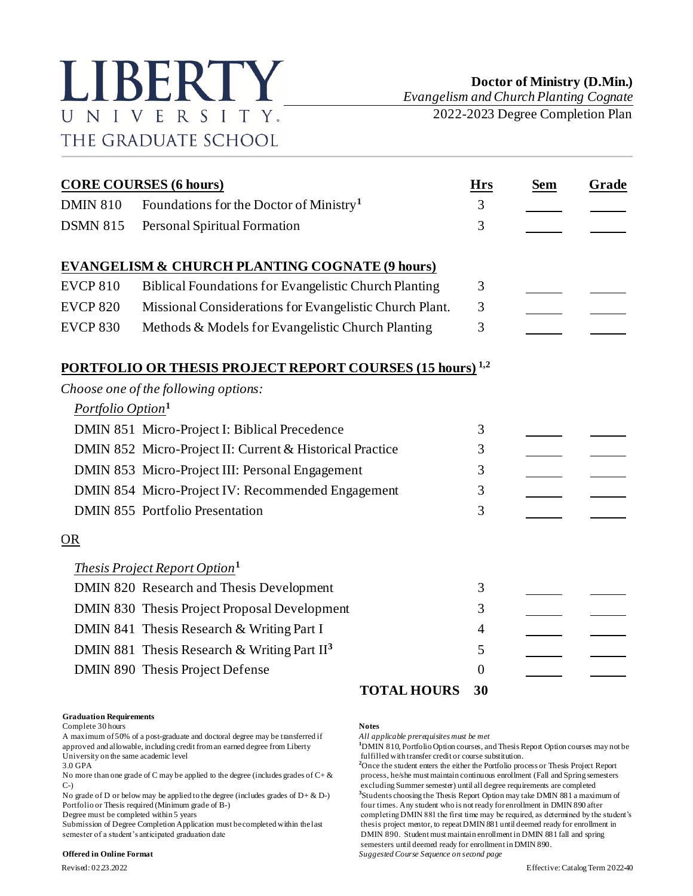

*Evangelism and Church Planting Cognate* 2022-2023 Degree Completion Plan

| <b>CORE COURSES (6 hours)</b> |                                                                             |                | <b>Sem</b> | Grade |
|-------------------------------|-----------------------------------------------------------------------------|----------------|------------|-------|
| <b>DMIN 810</b>               | Foundations for the Doctor of Ministry <sup>1</sup>                         | 3              |            |       |
| <b>DSMN 815</b>               | Personal Spiritual Formation                                                | 3              |            |       |
|                               | <b>EVANGELISM &amp; CHURCH PLANTING COGNATE (9 hours)</b>                   |                |            |       |
| <b>EVCP 810</b>               | <b>Biblical Foundations for Evangelistic Church Planting</b>                | 3              |            |       |
| <b>EVCP 820</b>               | Missional Considerations for Evangelistic Church Plant.                     | 3              |            |       |
| <b>EVCP 830</b>               | Methods & Models for Evangelistic Church Planting                           | 3              |            |       |
|                               | <b>PORTFOLIO OR THESIS PROJECT REPORT COURSES (15 hours)</b> <sup>1,2</sup> |                |            |       |
|                               | Choose one of the following options:                                        |                |            |       |
| Portfolio Option <sup>1</sup> |                                                                             |                |            |       |
|                               | DMIN 851 Micro-Project I: Biblical Precedence                               | 3              |            |       |
|                               | DMIN 852 Micro-Project II: Current & Historical Practice                    | 3              |            |       |
|                               | DMIN 853 Micro-Project III: Personal Engagement                             | 3              |            |       |
|                               | DMIN 854 Micro-Project IV: Recommended Engagement                           | 3              |            |       |
|                               | <b>DMIN 855</b> Portfolio Presentation                                      | 3              |            |       |
| <b>OR</b>                     |                                                                             |                |            |       |
|                               | <i>Thesis Project Report Option</i> <sup>1</sup>                            |                |            |       |
|                               | DMIN 820 Research and Thesis Development                                    | 3              |            |       |
|                               | DMIN 830 Thesis Project Proposal Development                                | 3              |            |       |
|                               | DMIN 841 Thesis Research & Writing Part I                                   | 4              |            |       |
|                               | DMIN 881 Thesis Research & Writing Part $II3$                               | 5              |            |       |
|                               | DMIN 890 Thesis Project Defense                                             | $\overline{0}$ |            |       |
|                               | <b>TOTAL HOURS</b>                                                          | 30             |            |       |

## **Graduation Requirements**

Complete 30 hours **Notes**

A maximum of 50% of a post-graduate and doctoral degree may be transferred if *All applicable prerequisites must be met* approved and allowable, including credit from an earned degree from Liberty **1**DMIN 810, Portfolio Option courses, and Thesis Report Option courses may not be fulfilled with transfer credit or course substitution. University on the same academic level<br>
3.0 GPA<br>
<sup>2</sup>Once the student enters the either the Portfolio pro-

No more than one grade of C may be applied to the degree (includes grades of  $C + \&$  process, he/she must maintain continuous enrollment (Fall and Spring semesters

No grade of D or below may be applied to the degree (includes grades of  $D + \& D$ -)

semester of a student's anticipated graduation date DMIN 890. Student must maintain enrollment in DMIN 881 fall and spring

### **Offered in Online Format** *Suggested Course Sequence on second page*

<sup>2</sup>Once the student enters the either the Portfolio process or Thesis Project Report C-) excluding Summer semester) until all degree requirements are completed **3** Students choosing the Thesis Report Option may take DMIN 881 a maximum of Portfolio or Thesis required (Minimum grade of B-) four times. Any student who is not ready for enrollment in DMIN 890 after<br>Degree must be completed within 5 years for example the student who is not ready for enrollment i completing DMIN 881 the first time may be required, as determined by the student's Submission of Degree Completion Application must be completed within the last thesis project mentor, to repeat DMIN 881 until deemed ready for enrollment in semesters until deemed ready for enrollment in DMIN 890.

Revised: 02.23.2022 Effective: Catalog Term 2022-40